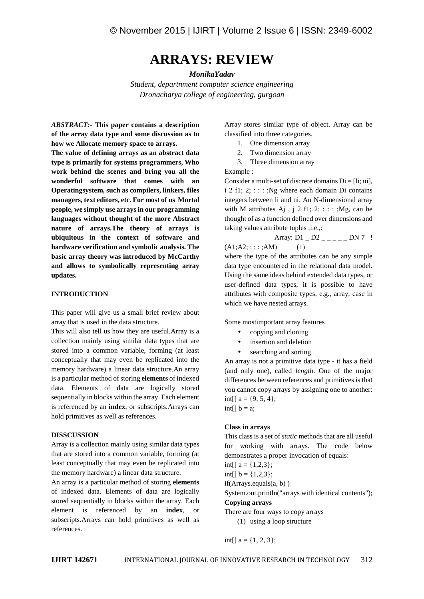# **ARRAYS: REVIEW**

## *MonikaYadav*

*Student, departnment computer science engineering Dronacharya college of engineering, gurgoan*

*ABSTRACT:-* **This paper contains a description of the array data type and some discussion as to how we Allocate memory space to arrays.**

**The value of defining arrays as an abstract data type is primarily for systems programmers, Who work behind the scenes and bring you all the wonderful software that comes with an Operatingsystem, such as compilers, linkers, files managers, text editors, etc. For most of us Mortal people, we simply use arrays in our programming languages without thought of the more Abstract nature of arrays.The theory of arrays is ubiquitous in the context of software and hardware verification and symbolic analysis. The basic array theory was introduced by McCarthy and allows to symbolically representing array updates.**

# **INTRODUCTION**

This paper will give us a small brief review about array that is used in the data structure.

This will also tell us how they are useful.Array is a collection mainly using similar data types that are stored into a common variable, forming (at least conceptually that may even be replicated into the memory hardware) a linear data structure.An array is a particular method of storing **elements** of indexed data. Elements of data are logically stored sequentially in blocks within the array. Each element is referenced by an **index**, or subscripts.Arrays can hold primitives as well as references.

# **DISSCUSSION**

Array is a collection mainly using similar data types that are stored into a common variable, forming (at least conceptually that may even be replicated into the memory hardware) a linear data structure.

An array is a particular method of storing **elements** of indexed data. Elements of data are logically stored sequentially in blocks within the array. Each element is referenced by an **index**, or subscripts.Arrays can hold primitives as well as references.

Array stores similar type of object. Array can be classified into three categories.

- 1. One dimension array
- 2. Two dimension array
- 3. Three dimension array

Example :

Consider a multi-set of discrete domains  $Di = [1i; ui]$ , i 2 f1;  $2$ ; : : : ; Ng where each domain Di contains integers between li and ui. An N-dimensional array with M attributes Aj,  $i \in \{2, 1, 2, \ldots, Mg\}$ , can be thought of as a function defined over dimensions and taking values attribute tuples , i.e.,:

Array: D1 \_ D2 \_ \_ \_ \_ \_ DN 7 !  $(A1;A2; \dots; AM)$  (1)

where the type of the attributes can be any simple data type encountered in the relational data model. Using the same ideas behind extended data types, or user-defined data types, it is possible to have attributes with composite types, e.g., array, case in which we have nested arrays.

Some mostimportant array features

- copying and cloning
- insertion and deletion
- searching and sorting

An array is not a primitive data type - it has a field (and only one), called *length*. One of the major differences between references and primitives is that you cannot copy arrays by assigning one to another:  $int[] a = \{9, 5, 4\};$  $int[] b = a;$ 

# **Class in arrays**

This class is a set of *static* methods that are all useful for working with arrays. The code below demonstrates a proper invocation of equals:

int[]  $a = \{1,2,3\}$ ;

 $int[] b = \{1,2,3\};$ 

if(Arrays.equals(a, b) )

System.out.println("arrays with identical contents"); **Copying arrays**

There are four ways to copy arrays

(1) using a loop structure

 $int[] a = \{1, 2, 3\};$